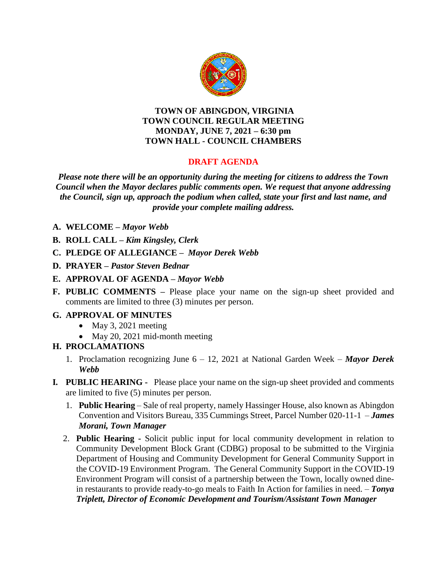

#### **TOWN OF ABINGDON, VIRGINIA TOWN COUNCIL REGULAR MEETING MONDAY, JUNE 7, 2021 – 6:30 pm TOWN HALL - COUNCIL CHAMBERS**

# **DRAFT AGENDA**

*Please note there will be an opportunity during the meeting for citizens to address the Town Council when the Mayor declares public comments open. We request that anyone addressing the Council, sign up, approach the podium when called, state your first and last name, and provide your complete mailing address.*

- **A. WELCOME –** *Mayor Webb*
- **B. ROLL CALL –** *Kim Kingsley, Clerk*
- **C. PLEDGE OF ALLEGIANCE –** *Mayor Derek Webb*
- **D. PRAYER –** *Pastor Steven Bednar*
- **E. APPROVAL OF AGENDA –** *Mayor Webb*
- **F. PUBLIC COMMENTS –** Please place your name on the sign-up sheet provided and comments are limited to three (3) minutes per person.

### **G. APPROVAL OF MINUTES**

- $\bullet$  May 3, 2021 meeting
- May 20, 2021 mid-month meeting
- **H. PROCLAMATIONS**
	- 1. Proclamation recognizing June 6 12, 2021 at National Garden Week *Mayor Derek Webb*
- **I***.* **PUBLIC HEARING** Please place your name on the sign-up sheet provided and comments are limited to five (5) minutes per person.
	- 1. **Public Hearing** Sale of real property, namely Hassinger House, also known as Abingdon Convention and Visitors Bureau, 335 Cummings Street, Parcel Number 020-11-1 – *James Morani, Town Manager*
	- 2. **Public Hearing -** Solicit public input for local community development in relation to Community Development Block Grant (CDBG) proposal to be submitted to the Virginia Department of Housing and Community Development for General Community Support in the COVID-19 Environment Program. The General Community Support in the COVID-19 Environment Program will consist of a partnership between the Town, locally owned dinein restaurants to provide ready-to-go meals to Faith In Action for families in need. – *Tonya Triplett, Director of Economic Development and Tourism/Assistant Town Manager*